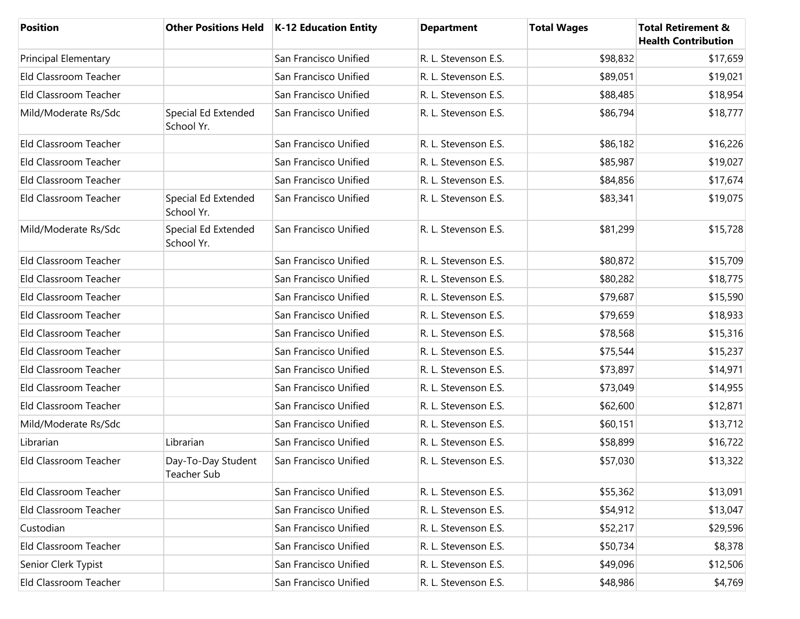| <b>Position</b>             |                                   | Other Positions Held   K-12 Education Entity | <b>Department</b>    | <b>Total Wages</b> | <b>Total Retirement &amp;</b><br><b>Health Contribution</b> |
|-----------------------------|-----------------------------------|----------------------------------------------|----------------------|--------------------|-------------------------------------------------------------|
| <b>Principal Elementary</b> |                                   | San Francisco Unified                        | R. L. Stevenson E.S. | \$98,832           | \$17,659                                                    |
| Eld Classroom Teacher       |                                   | San Francisco Unified                        | R. L. Stevenson E.S. | \$89,051           | \$19,021                                                    |
| Eld Classroom Teacher       |                                   | San Francisco Unified                        | R. L. Stevenson E.S. | \$88,485           | \$18,954                                                    |
| Mild/Moderate Rs/Sdc        | Special Ed Extended<br>School Yr. | San Francisco Unified                        | R. L. Stevenson E.S. | \$86,794           | \$18,777                                                    |
| Eld Classroom Teacher       |                                   | San Francisco Unified                        | R. L. Stevenson E.S. | \$86,182           | \$16,226                                                    |
| Eld Classroom Teacher       |                                   | San Francisco Unified                        | R. L. Stevenson E.S. | \$85,987           | \$19,027                                                    |
| Eld Classroom Teacher       |                                   | San Francisco Unified                        | R. L. Stevenson E.S. | \$84,856           | \$17,674                                                    |
| Eld Classroom Teacher       | Special Ed Extended<br>School Yr. | San Francisco Unified                        | R. L. Stevenson E.S. | \$83,341           | \$19,075                                                    |
| Mild/Moderate Rs/Sdc        | Special Ed Extended<br>School Yr. | San Francisco Unified                        | R. L. Stevenson E.S. | \$81,299           | \$15,728                                                    |
| Eld Classroom Teacher       |                                   | San Francisco Unified                        | R. L. Stevenson E.S. | \$80,872           | \$15,709                                                    |
| Eld Classroom Teacher       |                                   | San Francisco Unified                        | R. L. Stevenson E.S. | \$80,282           | \$18,775                                                    |
| Eld Classroom Teacher       |                                   | San Francisco Unified                        | R. L. Stevenson E.S. | \$79,687           | \$15,590                                                    |
| Eld Classroom Teacher       |                                   | San Francisco Unified                        | R. L. Stevenson E.S. | \$79,659           | \$18,933                                                    |
| Eld Classroom Teacher       |                                   | San Francisco Unified                        | R. L. Stevenson E.S. | \$78,568           | \$15,316                                                    |
| Eld Classroom Teacher       |                                   | San Francisco Unified                        | R. L. Stevenson E.S. | \$75,544           | \$15,237                                                    |
| Eld Classroom Teacher       |                                   | San Francisco Unified                        | R. L. Stevenson E.S. | \$73,897           | \$14,971                                                    |
| Eld Classroom Teacher       |                                   | San Francisco Unified                        | R. L. Stevenson E.S. | \$73,049           | \$14,955                                                    |
| Eld Classroom Teacher       |                                   | San Francisco Unified                        | R. L. Stevenson E.S. | \$62,600           | \$12,871                                                    |
| Mild/Moderate Rs/Sdc        |                                   | San Francisco Unified                        | R. L. Stevenson E.S. | \$60,151           | \$13,712                                                    |
| Librarian                   | Librarian                         | San Francisco Unified                        | R. L. Stevenson E.S. | \$58,899           | \$16,722                                                    |
| Eld Classroom Teacher       | Day-To-Day Student<br>Teacher Sub | San Francisco Unified                        | R. L. Stevenson E.S. | \$57,030           | \$13,322                                                    |
| Eld Classroom Teacher       |                                   | San Francisco Unified                        | R. L. Stevenson E.S. | \$55,362           | \$13,091                                                    |
| Eld Classroom Teacher       |                                   | San Francisco Unified                        | R. L. Stevenson E.S. | \$54,912           | \$13,047                                                    |
| Custodian                   |                                   | San Francisco Unified                        | R. L. Stevenson E.S. | \$52,217           | \$29,596                                                    |
| Eld Classroom Teacher       |                                   | San Francisco Unified                        | R. L. Stevenson E.S. | \$50,734           | \$8,378                                                     |
| Senior Clerk Typist         |                                   | San Francisco Unified                        | R. L. Stevenson E.S. | \$49,096           | \$12,506                                                    |
| Eld Classroom Teacher       |                                   | San Francisco Unified                        | R. L. Stevenson E.S. | \$48,986           | \$4,769                                                     |